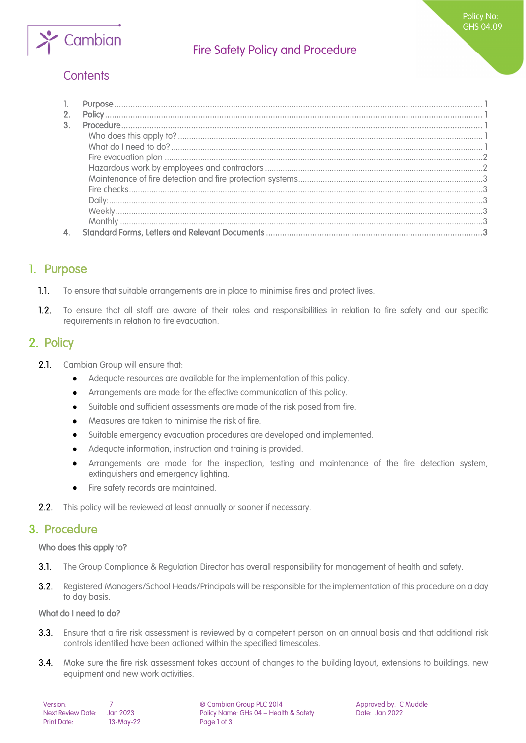

# Fire Safety Policy and Procedure

# **Contents**

| 2. |  |
|----|--|
| 3. |  |
|    |  |
|    |  |
|    |  |
|    |  |
|    |  |
|    |  |
|    |  |
|    |  |
|    |  |
|    |  |
|    |  |

## <span id="page-0-0"></span>1. Purpose

- $1.1.$ To ensure that suitable arrangements are in place to minimise fires and protect lives.
- $1.2.$ To ensure that all staff are aware of their roles and responsibilities in relation to fire safety and our specific requirements in relation to fire evacuation.

## <span id="page-0-1"></span>2. Policy

- $2.1.$ Cambian Group will ensure that:
	- $\bullet$ Adequate resources are available for the implementation of this policy.
	- Arrangements are made for the effective communication of this policy.  $\bullet$
	- Suitable and sufficient assessments are made of the risk posed from fire.  $\bullet$
	- Measures are taken to minimise the risk of fire.  $\bullet$
	- Suitable emergency evacuation procedures are developed and implemented.
	- Adequate information, instruction and training is provided.  $\bullet$
	- Arrangements are made for the inspection, testing and maintenance of the fire detection system, extinguishers and emergency lighting.
	- Fire safety records are maintained.
- <span id="page-0-2"></span> $2.2.$ This policy will be reviewed at least annually or sooner if necessary.

### 3. Procedure

### <span id="page-0-3"></span>Who does this apply to?

- $3.1.$ The Group Compliance & Regulation Director has overall responsibility for management of health and safety.
- $3.2<sub>1</sub>$ Registered Managers/School Heads/Principals will be responsible for the implementation of this procedure on a day to day basis.

### <span id="page-0-4"></span>What do I need to do?

- $3.3.$ Ensure that a fire risk assessment is reviewed by a competent person on an annual basis and that additional risk controls identified have been actioned within the specified timescales.
- 3.4. Make sure the fire risk assessment takes account of changes to the building layout, extensions to buildings, new equipment and new work activities.

| Version:                 |          |
|--------------------------|----------|
| <b>Next Review Date:</b> | Jan 202: |
| <b>Print Date:</b>       | $13-May$ |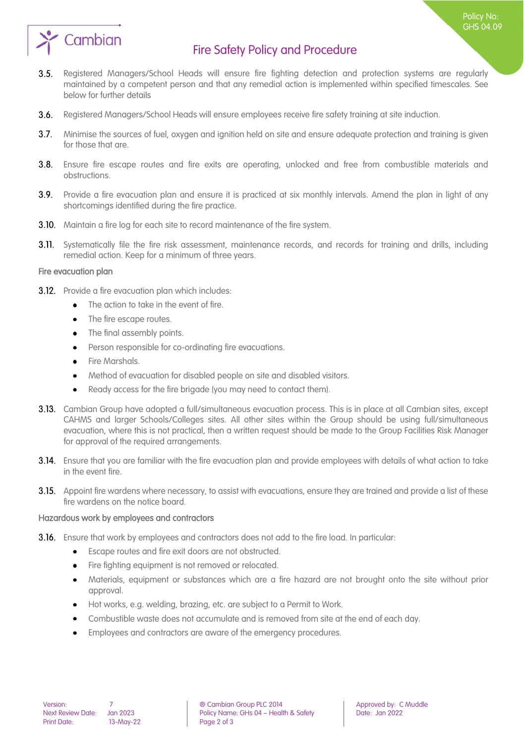

## Fire Safety Policy and Procedure

- $3.5.$ Registered Managers/School Heads will ensure fire fighting detection and protection systems are regularly maintained by a competent person and that any remedial action is implemented within specified timescales. See below for further details
- $3.6.$ Registered Managers/School Heads will ensure employees receive fire safety training at site induction.
- $3.7$ Minimise the sources of fuel, oxygen and ignition held on site and ensure adequate protection and training is given for those that are.
- Ensure fire escape routes and fire exits are operating, unlocked and free from combustible materials and obstructions.
- 3.9. Provide a fire evacuation plan and ensure it is practiced at six monthly intervals. Amend the plan in light of any shortcomings identified during the fire practice.
- **3.10.** Maintain a fire log for each site to record maintenance of the fire system.
- **3.11.** Systematically file the fire risk assessment, maintenance records, and records for training and drills, including remedial action. Keep for a minimum of three years.

#### <span id="page-1-0"></span>Fire evacuation plan

- **3.12.** Provide a fire evacuation plan which includes:
	- $\bullet$ The action to take in the event of fire.
	- $\bullet$ The fire escape routes.
	- The final assembly points.  $\bullet$
	- Person responsible for co-ordinating fire evacuations.  $\bullet$
	- Fire Marshals.
	- Method of evacuation for disabled people on site and disabled visitors.
	- Ready access for the fire brigade (you may need to contact them).  $\bullet$
- 3.13. Cambian Group have adopted a full/simultaneous evacuation process. This is in place at all Cambian sites, except CAHMS and larger Schools/Colleges sites. All other sites within the Group should be using full/simultaneous evacuation, where this is not practical, then a written request should be made to the Group Facilities Risk Manager for approval of the required arrangements.
- 3.14. Ensure that you are familiar with the fire evacuation plan and provide employees with details of what action to take in the event fire.
- 3.15. Appoint fire wardens where necessary, to assist with evacuations, ensure they are trained and provide a list of these fire wardens on the notice board.

#### <span id="page-1-1"></span>Hazardous work by employees and contractors

- **3.16.** Ensure that work by employees and contractors does not add to the fire load. In particular:
	- Escape routes and fire exit doors are not obstructed.  $\bullet$
	- Fire fighting equipment is not removed or relocated.  $\bullet$
	- Materials, equipment or substances which are a fire hazard are not brought onto the site without prior  $\bullet$ approval.
	- Hot works, e.g. welding, brazing, etc. are subject to a Permit to Work.
	- Combustible waste does not accumulate and is removed from site at the end of each day.
	- Employees and contractors are aware of the emergency procedures.